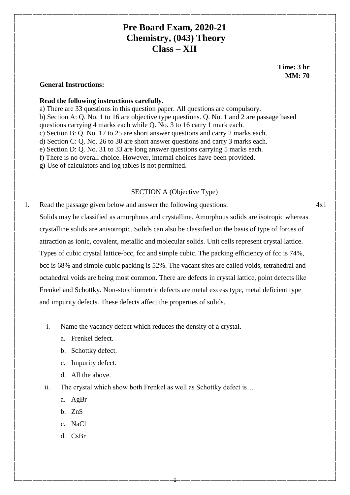# **Pre Board Exam, 2020-21 Chemistry, (043) Theory Class – XII**

 **Time: 3 hr MM: 70**

#### **General Instructions:**

#### **Read the following instructions carefully.**

a) There are 33 questions in this question paper. All questions are compulsory. b) Section A: Q. No. 1 to 16 are objective type questions. Q. No. 1 and 2 are passage based questions carrying 4 marks each while Q. No. 3 to 16 carry 1 mark each. c) Section B: Q. No. 17 to 25 are short answer questions and carry 2 marks each. d) Section C: Q. No. 26 to 30 are short answer questions and carry 3 marks each. e) Section D: Q. No. 31 to 33 are long answer questions carrying 5 marks each. f) There is no overall choice. However, internal choices have been provided. g) Use of calculators and log tables is not permitted.

# SECTION A (Objective Type)

- 1. Read the passage given below and answer the following questions: Solids may be classified as amorphous and crystalline. Amorphous solids are isotropic whereas crystalline solids are anisotropic. Solids can also be classified on the basis of type of forces of attraction as ionic, covalent, metallic and molecular solids. Unit cells represent crystal lattice. Types of cubic crystal lattice-bcc, fcc and simple cubic. The packing efficiency of fcc is 74%, bcc is 68% and simple cubic packing is 52%. The vacant sites are called voids, tetrahedral and octahedral voids are being most common. There are defects in crystal lattice, point defects like Frenkel and Schottky. Non-stoichiometric defects are metal excess type, metal deficient type and impurity defects. These defects affect the properties of solids.
	- i. Name the vacancy defect which reduces the density of a crystal.
		- a. Frenkel defect.
		- b. Schottky defect.
		- c. Impurity defect.
		- d. All the above.
	- ii. The crystal which show both Frenkel as well as Schottky defect is…

1

- a. AgBr
- b. ZnS
- c. NaCl
- d. CsBr

4x1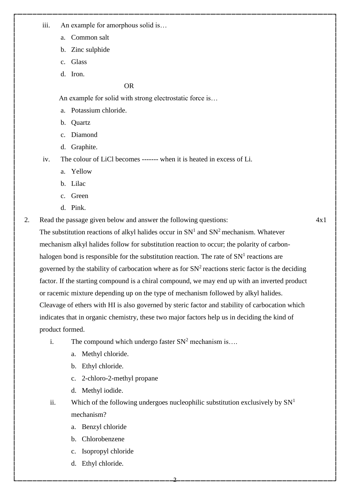iii. An example for amorphous solid is…

- a. Common salt
- b. Zinc sulphide
- c. Glass
- d. Iron.

## OR

An example for solid with strong electrostatic force is…

- a. Potassium chloride.
- b. Quartz
- c. Diamond
- d. Graphite.

iv. The colour of LiCl becomes ------- when it is heated in excess of Li.

- a. Yellow
- b. Lilac
- c. Green
- d. Pink.

2. Read the passage given below and answer the following questions:

4x1

The substitution reactions of alkyl halides occur in  $SN<sup>1</sup>$  and  $SN<sup>2</sup>$  mechanism. Whatever mechanism alkyl halides follow for substitution reaction to occur; the polarity of carbonhalogen bond is responsible for the substitution reaction. The rate of  $SN<sup>1</sup>$  reactions are governed by the stability of carbocation where as for  $SN<sup>2</sup>$  reactions steric factor is the deciding factor. If the starting compound is a chiral compound, we may end up with an inverted product or racemic mixture depending up on the type of mechanism followed by alkyl halides. Cleavage of ethers with HI is also governed by steric factor and stability of carbocation which indicates that in organic chemistry, these two major factors help us in deciding the kind of product formed.

- i. The compound which undergo faster  $SN^2$  mechanism is...
	- a. Methyl chloride.
	- b. Ethyl chloride.
	- c. 2-chloro-2-methyl propane
	- d. Methyl iodide.
- ii. Which of the following undergoes nucleophilic substitution exclusively by  $SN<sup>1</sup>$ mechanism?

- a. Benzyl chloride
- b. Chlorobenzene
- c. Isopropyl chloride
- d. Ethyl chloride.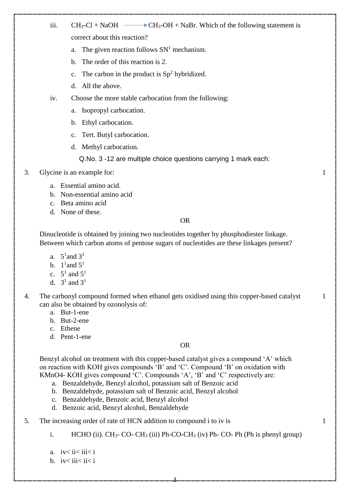- iii.  $CH_3-Cl + NaOH \longrightarrow CH_3-OH + NaBr$ . Which of the following statement is correct about this reaction?
	- a. The given reaction follows  $SN<sup>1</sup>$  mechanism.
	- b. The order of this reaction is 2.
	- c. The carbon in the product is  $Sp<sup>2</sup>$  hybridized.
	- d. All the above.
- iv. Choose the more stable carbocation from the following:
	- a. Isopropyl carbocation.
	- b. Ethyl carbocation.
	- c. Tert. Butyl carbocation.
	- d. Methyl carbocation.

## Q.No. 3 -12 are multiple choice questions carrying 1 mark each:

- 3. Glycine is an example for:
	- a. Essential amino acid.
	- b. Non-essential amino acid
	- c. Beta amino acid
	- d. None of these.

### OR

1

1

1

Dinucleotide is obtained by joining two nucleotides together by phosphodiester linkage. Between which carbon atoms of pentose sugars of nucleotides are these linkages present?

- a.  $5^1$  and  $3^1$
- b.  $1^1$  and  $5^1$
- c.  $5^1$  and  $5^1$
- d.  $3^1$  and  $3^1$
- 4. The carbonyl compound formed when ethanol gets oxidised using this copper-based catalyst can also be obtained by ozonolysis of:
	- a. But-1-ene
	- b. But-2-ene
	- c. Ethene
	- d. Pent-1-ene

## OR

Benzyl alcohol on treatment with this copper-based catalyst gives a compound 'A' which on reaction with KOH gives compounds 'B' and 'C'. Compound 'B' on oxidation with KMnO4- KOH gives compound 'C'. Compounds 'A', 'B' and 'C' respectively are:

- a. Benzaldehyde, Benzyl alcohol, potassium salt of Benzoic acid
- b. Benzaldehyde, potassium salt of Benzoic acid, Benzyl alcohol
- c. Benzaldehyde, Benzoic acid, Benzyl alcohol
- d. Benzoic acid, Benzyl alcohol, Benzaldehyde
- 5. The increasing order of rate of HCN addition to compound i to iv is
	- i. HCHO (ii).  $CH_3$  CO- CH<sub>3</sub> (iii) Ph-CO-CH<sub>3</sub> (iv) Ph- CO- Ph (Ph is phenyl group)

- a.  $iv < ii < iii < i$
- b.  $iv \leq iii \leq ii \leq i$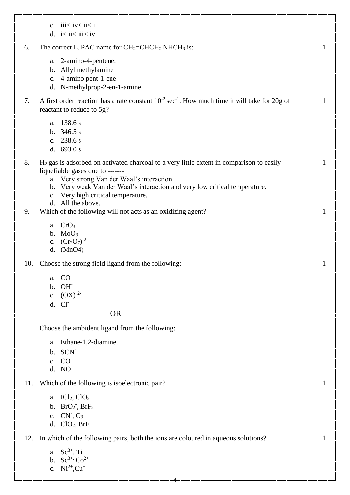|     | c. $iii < i < i < i$<br>d. $i < ii < iii < iv$                                                                                                                                                                                                                                                                       |              |
|-----|----------------------------------------------------------------------------------------------------------------------------------------------------------------------------------------------------------------------------------------------------------------------------------------------------------------------|--------------|
| 6.  | The correct IUPAC name for $CH_2=CHCH_2NHCH_3$ is:                                                                                                                                                                                                                                                                   | $\mathbf{1}$ |
|     | a. 2-amino-4-pentene.<br>b. Allyl methylamine<br>c. 4-amino pent-1-ene<br>d. N-methylprop-2-en-1-amine.                                                                                                                                                                                                              |              |
| 7.  | A first order reaction has a rate constant $10^{-2}$ sec <sup>-1</sup> . How much time it will take for 20g of<br>reactant to reduce to 5g?                                                                                                                                                                          | $\mathbf{1}$ |
|     | a. 138.6 s<br>b. $346.5 s$<br>c. $238.6 s$<br>d. $693.0 s$                                                                                                                                                                                                                                                           |              |
| 8.  | $H2$ gas is adsorbed on activated charcoal to a very little extent in comparison to easily<br>liquefiable gases due to -------<br>a. Very strong Van der Waal's interaction<br>b. Very weak Van der Waal's interaction and very low critical temperature.<br>c. Very high critical temperature.<br>d. All the above. | 1            |
| 9.  | Which of the following will not acts as an oxidizing agent?                                                                                                                                                                                                                                                          | $\mathbf{1}$ |
|     | a. $CrO3$<br>$b. \text{MoO}_3$<br>c. $(Cr_2O_7)^2$<br>d. $(MnO4)$ <sup>-</sup>                                                                                                                                                                                                                                       |              |
| 10. | Choose the strong field ligand from the following:                                                                                                                                                                                                                                                                   | 1            |
|     | a. CO<br>b. OH<br>c. $(OX)^2$<br>d. Cl <sup>-</sup><br><b>OR</b>                                                                                                                                                                                                                                                     |              |
|     | Choose the ambident ligand from the following:                                                                                                                                                                                                                                                                       |              |
|     | Ethane-1,2-diamine.<br>a.<br>b. SCN<br>c. CO<br>d. NO                                                                                                                                                                                                                                                                |              |
| 11. | Which of the following is isoelectronic pair?                                                                                                                                                                                                                                                                        | $\mathbf{1}$ |
|     | a. $ICl2, ClO2$<br>b. $BrO2$ , $BrF2+$<br>c. $CN$ , $O_3$<br>d. $ClO2$ , BrF.                                                                                                                                                                                                                                        |              |
|     | 12. In which of the following pairs, both the ions are coloured in aqueous solutions?                                                                                                                                                                                                                                | 1            |

- a.  $Sc^{3+}$ , Ti
- b.  $Sc^{3+}$ ,  $Co^{2+}$
- c.  $Ni^{2+}$ ,  $Cu^{+}$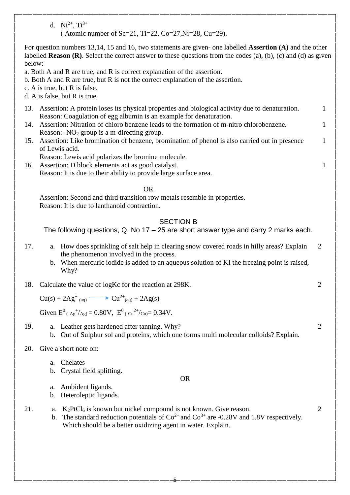d.  $Ni^{2+}$ ,  $Ti^{3+}$ 

( Atomic number of Sc=21, Ti=22, Co=27, Ni=28, Cu=29).

For question numbers 13,14, 15 and 16, two statements are given- one labelled **Assertion (A)** and the other labelled **Reason (R)**. Select the correct answer to these questions from the codes (a), (b), (c) and (d) as given below:

- a. Both A and R are true, and R is correct explanation of the assertion.
- b. Both A and R are true, but R is not the correct explanation of the assertion.
- c. A is true, but R is false.
- d. A is false, but R is true.
- 13. Assertion: A protein loses its physical properties and biological activity due to denaturation. Reason: Coagulation of egg albumin is an example for denaturation.

1

1

1

2

2

2

- 14. Assertion: Nitration of chloro benzene leads to the formation of m-nitro chlorobenzene. Reason:  $-NO<sub>2</sub>$  group is a m-directing group.
- 15. Assertion: Like bromination of benzene, bromination of phenol is also carried out in presence of Lewis acid. 1

Reason: Lewis acid polarizes the bromine molecule.

16. Assertion: D block elements act as good catalyst. Reason: It is due to their ability to provide large surface area.

#### **OR** Service Service Service Service Service Service Service Service Service Service Service Service Service Service Service Service Service Service Service Service Service Service Service Service Service Service Service S

Assertion: Second and third transition row metals resemble in properties. Reason: It is due to lanthanoid contraction.

## SECTION B

The following questions, Q. No 17 – 25 are short answer type and carry 2 marks each.

- 17. a. How does sprinkling of salt help in clearing snow covered roads in hilly areas? Explain the phenomenon involved in the process. 2
	- b. When mercuric iodide is added to an aqueous solution of KI the freezing point is raised, Why?
- 18. Calculate the value of logKc for the reaction at 298K.

$$
Cu(s) + 2Ag^{+} (aq) \longrightarrow Cu^{2+} (aq) + 2Ag(s)
$$

Given  $E^0$ <sub>(Ag</sub><sup>+</sup>/<sub>Ag</sub>) = 0.80V,  $E^0$ <sub>(Cu</sub><sup>2+</sup>/<sub>Cu</sub>) = 0.34V.

19. a. Leather gets hardened after tanning. Why? b. Out of Sulphur sol and proteins, which one forms multi molecular colloids? Explain.

## 20. Give a short note on:

- a. Chelates
- b. Crystal field splitting.
- a. Ambident ligands.
- b. Heteroleptic ligands.
- 21.  $a. K<sub>2</sub>PtCl<sub>6</sub>$  is known but nickel compound is not known. Give reason.
	- b. The standard reduction potentials of  $Co^{2+}$  and  $Co^{3+}$  are -0.28V and 1.8V respectively. Which should be a better oxidizing agent in water. Explain.

OR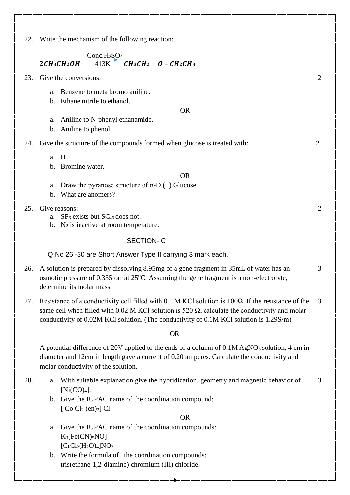22. Write the mechanism of the following reaction:

# Conc.H<sub>2</sub>SO<sub>4</sub>  $2CH_3CH_2OH$   $413K$   $CH_3CH_2-O-CH_2CH_3$

- 23. Give the conversions:
	- a. Benzene to meta bromo aniline.
	- b. Ethane nitrile to ethanol.
	- a. Aniline to N-phenyl ethanamide.
	- b. Aniline to phenol.
- 24. Give the structure of the compounds formed when glucose is treated with:
	- a. HI
	- b. Bromine water.

#### OR

OR

- a. Draw the pyranose structure of  $\alpha$ -D (+) Glucose.
- b. What are anomers?
- 25. Give reasons:
	- a.  $SF<sub>6</sub>$  exists but  $SCl<sub>6</sub>$  does not.
	- b.  $N_2$  is inactive at room temperature.

## SECTION- C

Q.No 26 -30 are Short Answer Type II carrying 3 mark each.

- 26. A solution is prepared by dissolving 8.95mg of a gene fragment in 35mL of water has an osmotic pressure of 0.335torr at  $25^{\circ}$ C. Assuming the gene fragment is a non-electrolyte, determine its molar mass.
- 27. Resistance of a conductivity cell filled with 0.1 M KCl solution is 100Ω. If the resistance of the same cell when filled with 0.02 M KCl solution is 520  $\Omega$ , calculate the conductivity and molar conductivity of 0.02M KCl solution. (The conductivity of 0.1M KCl solution is 1.29S/m) 3

#### OR

A potential difference of 20V applied to the ends of a column of  $0.1M$  AgNO<sub>3</sub> solution, 4 cm in diameter and 12cm in length gave a current of 0.20 amperes. Calculate the conductivity and molar conductivity of the solution.

28. a. With suitable explanation give the hybridization, geometry and magnetic behavior of  $[Ni(CO)<sub>4</sub>].$ 3

OR

- b. Give the IUPAC name of the coordination compound:  $[Cot C<sub>12</sub> (en)<sub>2</sub>]$  Cl
- a. Give the IUPAC name of the coordination compounds:  $K_3[Fe(CN)_5NO]$  $[CrCl<sub>2</sub>(H<sub>2</sub>O)<sub>4</sub>]NO<sub>3</sub>$
- b. Write the formula of the coordination compounds: tris(ethane-1,2-diamine) chromium (III) chloride.

6

2

2

2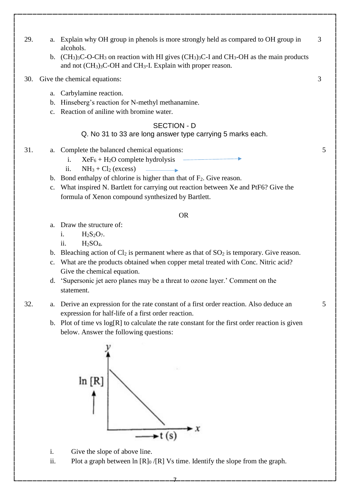- 29. a. Explain why OH group in phenols is more strongly held as compared to OH group in alcohols.
	- b.  $(CH_3)$ <sub>3</sub>C-O-CH<sub>3</sub> on reaction with HI gives  $(CH_3)$ <sub>3</sub>C-I and CH<sub>3</sub>-OH as the main products and not (CH3)3C-OH and CH3-I. Explain with proper reason.
- 30. Give the chemical equations:
	- a. Carbylamine reaction.
	- b. Hinseberg's reaction for N-methyl methanamine.
	- c. Reaction of aniline with bromine water.

# SECTION - D

## Q. No 31 to 33 are long answer type carrying 5 marks each.

- 31. a. Complete the balanced chemical equations:
	- i.  $XeF_6 + H_2O$  complete hydrolysis
	- ii.  $NH_3 + Cl_2$  (excess)
	- b. Bond enthalpy of chlorine is higher than that of  $F_2$ . Give reason.
	- c. What inspired N. Bartlett for carrying out reaction between Xe and PtF6? Give the formula of Xenon compound synthesized by Bartlett.

# OR

- a. Draw the structure of:
	- i.  $H_2S_2O_7$ .
	- ii.  $H_2SO_4$ .
- b. Bleaching action of  $Cl_2$  is permanent where as that of  $SO_2$  is temporary. Give reason.
- c. What are the products obtained when copper metal treated with Conc. Nitric acid? Give the chemical equation.
- d. 'Supersonic jet aero planes may be a threat to ozone layer.' Comment on the statement.
- 32. a. Derive an expression for the rate constant of a first order reaction. Also deduce an expression for half-life of a first order reaction.
	- b. Plot of time vs  $log[R]$  to calculate the rate constant for the first order reaction is given below. Answer the following questions:



- i. Give the slope of above line.
- ii. Plot a graph between  $\ln |R|_0 / |R|$  Vs time. Identify the slope from the graph.

7

3

3

5